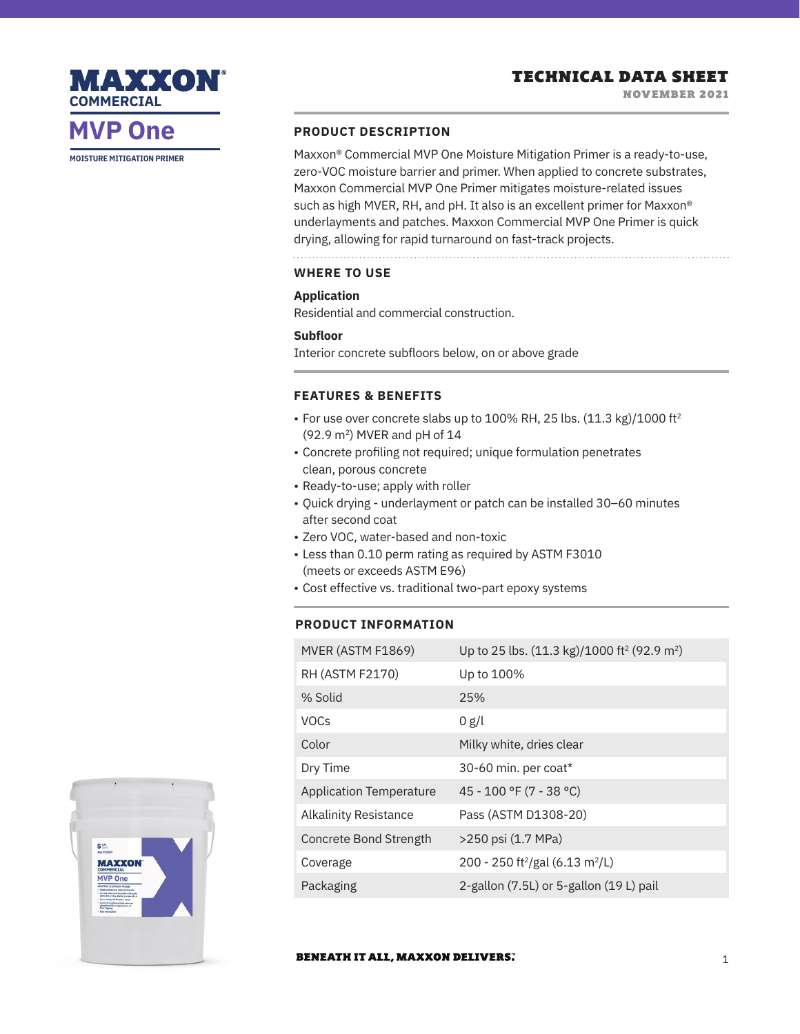## TECHNICAL DATA SHEET

# **COMMERCIAL**

MAXXON

# **MVP One**

**MOISTURE MITIGATION PRIMER**

### **PRODUCT DESCRIPTION**

Maxxon® Commercial MVP One Moisture Mitigation Primer is a ready-to-use, zero-VOC moisture barrier and primer. When applied to concrete substrates, Maxxon Commercial MVP One Primer mitigates moisture-related issues such as high MVER, RH, and pH. It also is an excellent primer for Maxxon® underlayments and patches. Maxxon Commercial MVP One Primer is quick drying, allowing for rapid turnaround on fast-track projects.

## **WHERE TO USE**

### **Application**

Residential and commercial construction.

### **Subfloor**

Interior concrete subfloors below, on or above grade

## **FEATURES & BENEFITS**

- For use over concrete slabs up to 100% RH, 25 lbs. (11.3 kg)/1000 ft2 (92.9 m2) MVER and pH of 14
- Concrete profiling not required; unique formulation penetrates clean, porous concrete
- Ready-to-use; apply with roller
- Quick drying underlayment or patch can be installed 30–60 minutes after second coat
- Zero VOC, water-based and non-toxic
- Less than 0.10 perm rating as required by ASTM F3010 (meets or exceeds ASTM E96)
- Cost effective vs. traditional two-part epoxy systems

## **PRODUCT INFORMATION**

| MVER (ASTM F1869)              | Up to 25 lbs. (11.3 kg)/1000 ft <sup>2</sup> (92.9 m <sup>2</sup> ) |
|--------------------------------|---------------------------------------------------------------------|
| RH (ASTM F2170)                | Up to 100%                                                          |
| % Solid                        | 25%                                                                 |
| <b>VOCs</b>                    | 0 g/l                                                               |
| Color                          | Milky white, dries clear                                            |
| Dry Time                       | 30-60 min. per coat*                                                |
| <b>Application Temperature</b> | 45 - 100 °F (7 - 38 °C)                                             |
| Alkalinity Resistance          | Pass (ASTM D1308-20)                                                |
| Concrete Bond Strength         | >250 psi (1.7 MPa)                                                  |
| Coverage                       | 200 - 250 ft <sup>2</sup> /gal (6.13 m <sup>2</sup> /L)             |
| Packaging                      | 2-gallon (7.5L) or 5-gallon (19L) pail                              |



### **BENEATH IT ALL, MAXXON DELIVERS.**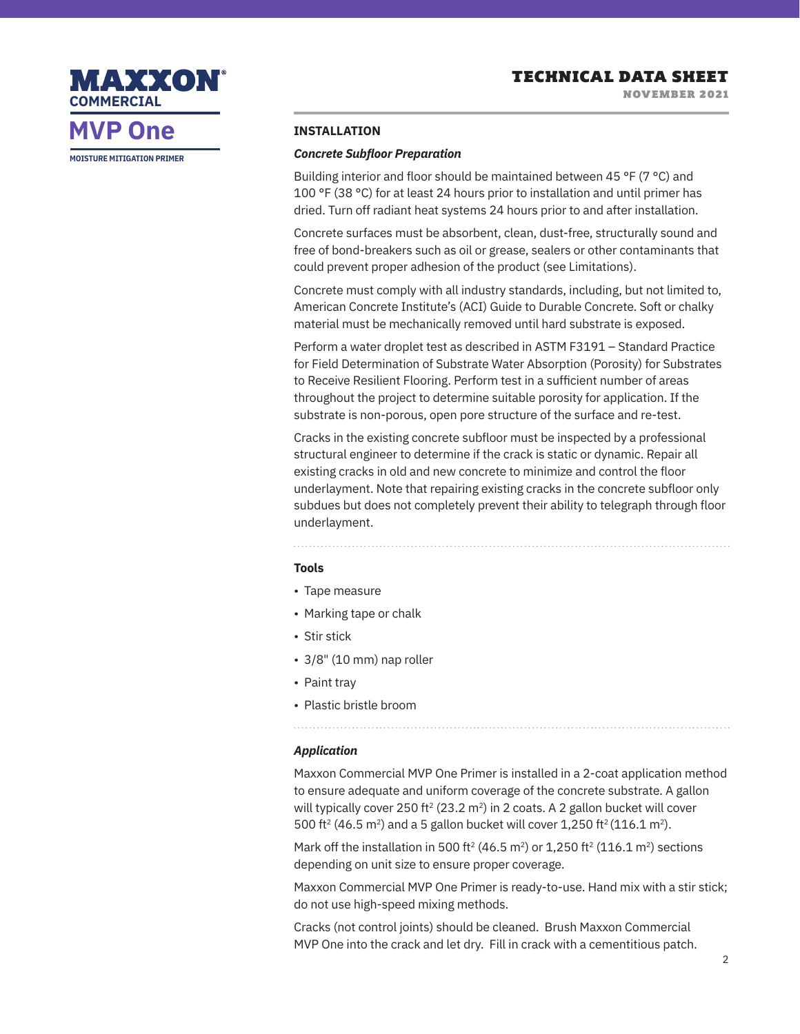NOVEMBER 2021



**MVP One**

**MOISTURE MITIGATION PRIMER**

### **INSTALLATION**

### *Concrete Subfloor Preparation*

Building interior and floor should be maintained between 45 °F (7 °C) and 100 °F (38 °C) for at least 24 hours prior to installation and until primer has dried. Turn off radiant heat systems 24 hours prior to and after installation.

Concrete surfaces must be absorbent, clean, dust-free, structurally sound and free of bond-breakers such as oil or grease, sealers or other contaminants that could prevent proper adhesion of the product (see Limitations).

Concrete must comply with all industry standards, including, but not limited to, American Concrete Institute's (ACI) Guide to Durable Concrete. Soft or chalky material must be mechanically removed until hard substrate is exposed.

Perform a water droplet test as described in ASTM F3191 – Standard Practice for Field Determination of Substrate Water Absorption (Porosity) for Substrates to Receive Resilient Flooring. Perform test in a sufficient number of areas throughout the project to determine suitable porosity for application. If the substrate is non-porous, open pore structure of the surface and re-test.

Cracks in the existing concrete subfloor must be inspected by a professional structural engineer to determine if the crack is static or dynamic. Repair all existing cracks in old and new concrete to minimize and control the floor underlayment. Note that repairing existing cracks in the concrete subfloor only subdues but does not completely prevent their ability to telegraph through floor underlayment.

### **Tools**

- Tape measure
- Marking tape or chalk
- Stir stick
- 3/8" (10 mm) nap roller
- Paint tray
- Plastic bristle broom

### *Application*

Maxxon Commercial MVP One Primer is installed in a 2-coat application method to ensure adequate and uniform coverage of the concrete substrate. A gallon will typically cover 250 ft<sup>2</sup> (23.2 m<sup>2</sup>) in 2 coats. A 2 gallon bucket will cover 500 ft<sup>2</sup> (46.5 m<sup>2</sup>) and a 5 gallon bucket will cover 1,250 ft<sup>2</sup> (116.1 m<sup>2</sup>).

Mark off the installation in 500 ft<sup>2</sup> (46.5 m<sup>2</sup>) or 1,250 ft<sup>2</sup> (116.1 m<sup>2</sup>) sections depending on unit size to ensure proper coverage.

Maxxon Commercial MVP One Primer is ready-to-use. Hand mix with a stir stick; do not use high-speed mixing methods.

Cracks (not control joints) should be cleaned. Brush Maxxon Commercial MVP One into the crack and let dry. Fill in crack with a cementitious patch.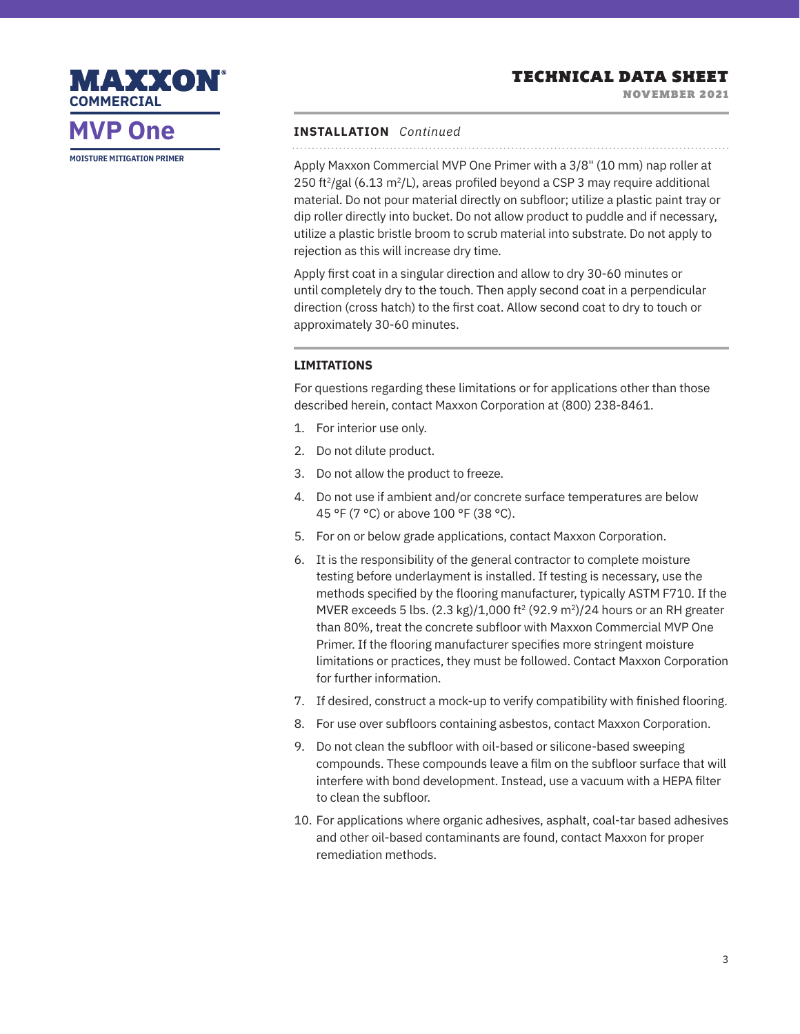## TECHNICAL DATA SHEET

NOVEMBER 2021

# MAXXON **COMMERCIAL**

# **MVP One**

**MOISTURE MITIGATION PRIMER**

### **INSTALLATION** *Continued*

Apply Maxxon Commercial MVP One Primer with a 3/8" (10 mm) nap roller at 250 ft<sup>2</sup>/gal (6.13 m<sup>2</sup>/L), areas profiled beyond a CSP 3 may require additional material. Do not pour material directly on subfloor; utilize a plastic paint tray or dip roller directly into bucket. Do not allow product to puddle and if necessary, utilize a plastic bristle broom to scrub material into substrate. Do not apply to rejection as this will increase dry time.

Apply first coat in a singular direction and allow to dry 30-60 minutes or until completely dry to the touch. Then apply second coat in a perpendicular direction (cross hatch) to the first coat. Allow second coat to dry to touch or approximately 30-60 minutes.

### **LIMITATIONS**

For questions regarding these limitations or for applications other than those described herein, contact Maxxon Corporation at (800) 238-8461.

- 1. For interior use only.
- 2. Do not dilute product.
- 3. Do not allow the product to freeze.
- 4. Do not use if ambient and/or concrete surface temperatures are below 45 °F (7 °C) or above 100 °F (38 °C).
- 5. For on or below grade applications, contact Maxxon Corporation.
- 6. It is the responsibility of the general contractor to complete moisture testing before underlayment is installed. If testing is necessary, use the methods specified by the flooring manufacturer, typically ASTM F710. If the MVER exceeds 5 lbs.  $(2.3 \text{ kg})/1,000 \text{ ft}^2 (92.9 \text{ m}^2)/24$  hours or an RH greater than 80%, treat the concrete subfloor with Maxxon Commercial MVP One Primer. If the flooring manufacturer specifies more stringent moisture limitations or practices, they must be followed. Contact Maxxon Corporation for further information.
- 7. If desired, construct a mock-up to verify compatibility with finished flooring.
- 8. For use over subfloors containing asbestos, contact Maxxon Corporation.
- 9. Do not clean the subfloor with oil-based or silicone-based sweeping compounds. These compounds leave a film on the subfloor surface that will interfere with bond development. Instead, use a vacuum with a HEPA filter to clean the subfloor.
- 10. For applications where organic adhesives, asphalt, coal-tar based adhesives and other oil-based contaminants are found, contact Maxxon for proper remediation methods.